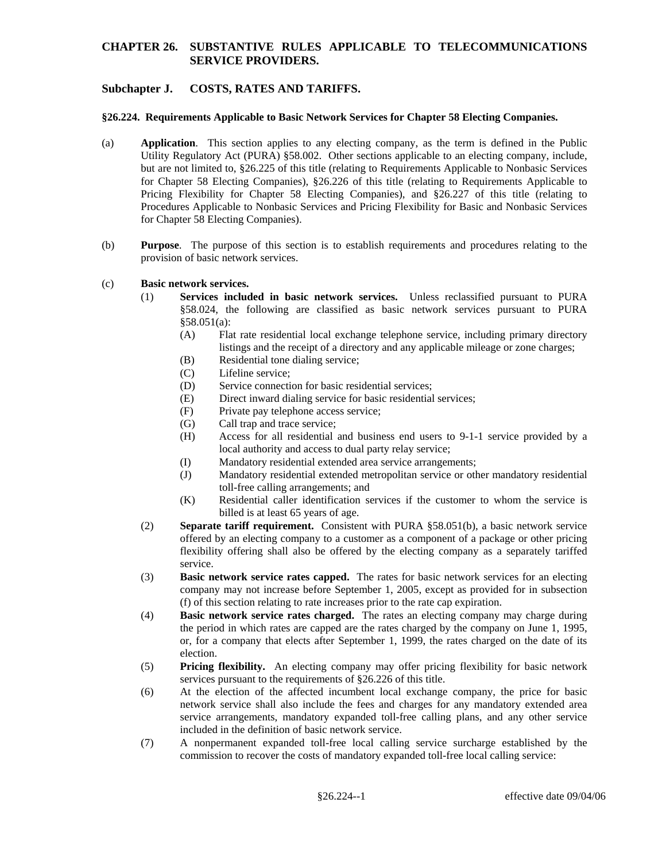### **Subchapter J. COSTS, RATES AND TARIFFS.**

#### **§26.224. Requirements Applicable to Basic Network Services for Chapter 58 Electing Companies.**

- (a) **Application**. This section applies to any electing company, as the term is defined in the Public Utility Regulatory Act (PURA) §58.002. Other sections applicable to an electing company, include, but are not limited to, §26.225 of this title (relating to Requirements Applicable to Nonbasic Services for Chapter 58 Electing Companies), §26.226 of this title (relating to Requirements Applicable to Pricing Flexibility for Chapter 58 Electing Companies), and §26.227 of this title (relating to Procedures Applicable to Nonbasic Services and Pricing Flexibility for Basic and Nonbasic Services for Chapter 58 Electing Companies).
- (b) **Purpose**. The purpose of this section is to establish requirements and procedures relating to the provision of basic network services.

#### (c) **Basic network services.**

- (1) **Services included in basic network services.** Unless reclassified pursuant to PURA §58.024, the following are classified as basic network services pursuant to PURA §58.051(a):
	- (A) Flat rate residential local exchange telephone service, including primary directory listings and the receipt of a directory and any applicable mileage or zone charges;
	- (B) Residential tone dialing service;
	- (C) Lifeline service;
	- (D) Service connection for basic residential services;
	- (E) Direct inward dialing service for basic residential services;
	- (F) Private pay telephone access service;
	- (G) Call trap and trace service;
	- (H) Access for all residential and business end users to 9-1-1 service provided by a local authority and access to dual party relay service;
	- (I) Mandatory residential extended area service arrangements;
	- (J) Mandatory residential extended metropolitan service or other mandatory residential toll-free calling arrangements; and
	- (K) Residential caller identification services if the customer to whom the service is billed is at least 65 years of age.
- (2) **Separate tariff requirement.** Consistent with PURA §58.051(b), a basic network service offered by an electing company to a customer as a component of a package or other pricing flexibility offering shall also be offered by the electing company as a separately tariffed service.
- (3) **Basic network service rates capped.** The rates for basic network services for an electing company may not increase before September 1, 2005, except as provided for in subsection (f) of this section relating to rate increases prior to the rate cap expiration.
- (4) **Basic network service rates charged.** The rates an electing company may charge during the period in which rates are capped are the rates charged by the company on June 1, 1995, or, for a company that elects after September 1, 1999, the rates charged on the date of its election.
- (5) **Pricing flexibility.** An electing company may offer pricing flexibility for basic network services pursuant to the requirements of §26.226 of this title.
- (6) At the election of the affected incumbent local exchange company, the price for basic network service shall also include the fees and charges for any mandatory extended area service arrangements, mandatory expanded toll-free calling plans, and any other service included in the definition of basic network service.
- (7) A nonpermanent expanded toll-free local calling service surcharge established by the commission to recover the costs of mandatory expanded toll-free local calling service: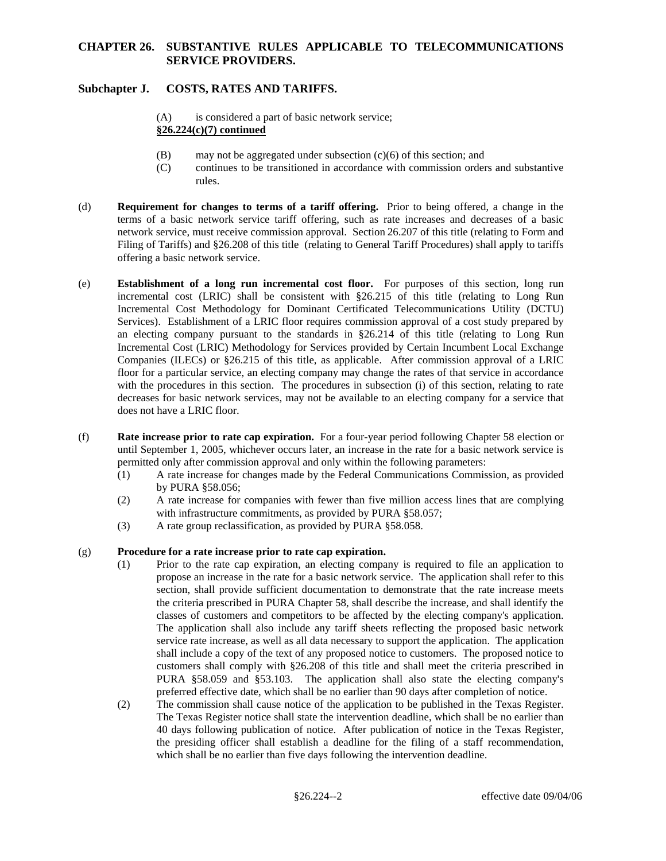# **Subchapter J. COSTS, RATES AND TARIFFS.**

- (A) is considered a part of basic network service; **§26.224(c)(7) continued**
- (B) may not be aggregated under subsection (c)(6) of this section; and
- (C) continues to be transitioned in accordance with commission orders and substantive rules.
- (d) **Requirement for changes to terms of a tariff offering.** Prior to being offered, a change in the terms of a basic network service tariff offering, such as rate increases and decreases of a basic network service, must receive commission approval. Section 26.207 of this title (relating to Form and Filing of Tariffs) and §26.208 of this title (relating to General Tariff Procedures) shall apply to tariffs offering a basic network service.
- (e) **Establishment of a long run incremental cost floor.** For purposes of this section, long run incremental cost (LRIC) shall be consistent with §26.215 of this title (relating to Long Run Incremental Cost Methodology for Dominant Certificated Telecommunications Utility (DCTU) Services). Establishment of a LRIC floor requires commission approval of a cost study prepared by an electing company pursuant to the standards in §26.214 of this title (relating to Long Run Incremental Cost (LRIC) Methodology for Services provided by Certain Incumbent Local Exchange Companies (ILECs) or §26.215 of this title, as applicable. After commission approval of a LRIC floor for a particular service, an electing company may change the rates of that service in accordance with the procedures in this section. The procedures in subsection (i) of this section, relating to rate decreases for basic network services, may not be available to an electing company for a service that does not have a LRIC floor.
- (f) **Rate increase prior to rate cap expiration.** For a four-year period following Chapter 58 election or until September 1, 2005, whichever occurs later, an increase in the rate for a basic network service is permitted only after commission approval and only within the following parameters:
	- (1) A rate increase for changes made by the Federal Communications Commission, as provided by PURA §58.056;
	- (2) A rate increase for companies with fewer than five million access lines that are complying with infrastructure commitments, as provided by PURA §58.057;
	- (3) A rate group reclassification, as provided by PURA §58.058.

#### (g) **Procedure for a rate increase prior to rate cap expiration.**

- (1) Prior to the rate cap expiration, an electing company is required to file an application to propose an increase in the rate for a basic network service. The application shall refer to this section, shall provide sufficient documentation to demonstrate that the rate increase meets the criteria prescribed in PURA Chapter 58, shall describe the increase, and shall identify the classes of customers and competitors to be affected by the electing company's application. The application shall also include any tariff sheets reflecting the proposed basic network service rate increase, as well as all data necessary to support the application. The application shall include a copy of the text of any proposed notice to customers. The proposed notice to customers shall comply with §26.208 of this title and shall meet the criteria prescribed in PURA §58.059 and §53.103. The application shall also state the electing company's preferred effective date, which shall be no earlier than 90 days after completion of notice.
- (2) The commission shall cause notice of the application to be published in the Texas Register. The Texas Register notice shall state the intervention deadline, which shall be no earlier than 40 days following publication of notice. After publication of notice in the Texas Register, the presiding officer shall establish a deadline for the filing of a staff recommendation, which shall be no earlier than five days following the intervention deadline.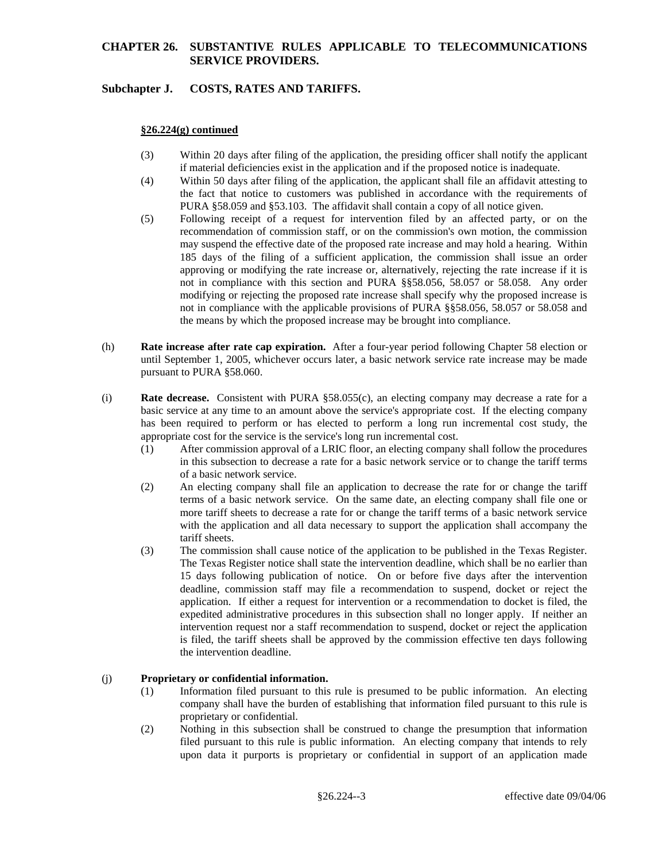### **Subchapter J. COSTS, RATES AND TARIFFS.**

#### **§26.224(g) continued**

- (3) Within 20 days after filing of the application, the presiding officer shall notify the applicant if material deficiencies exist in the application and if the proposed notice is inadequate.
- (4) Within 50 days after filing of the application, the applicant shall file an affidavit attesting to the fact that notice to customers was published in accordance with the requirements of PURA §58.059 and §53.103. The affidavit shall contain a copy of all notice given.
- (5) Following receipt of a request for intervention filed by an affected party, or on the recommendation of commission staff, or on the commission's own motion, the commission may suspend the effective date of the proposed rate increase and may hold a hearing. Within 185 days of the filing of a sufficient application, the commission shall issue an order approving or modifying the rate increase or, alternatively, rejecting the rate increase if it is not in compliance with this section and PURA §§58.056, 58.057 or 58.058. Any order modifying or rejecting the proposed rate increase shall specify why the proposed increase is not in compliance with the applicable provisions of PURA §§58.056, 58.057 or 58.058 and the means by which the proposed increase may be brought into compliance.
- (h) **Rate increase after rate cap expiration.** After a four-year period following Chapter 58 election or until September 1, 2005, whichever occurs later, a basic network service rate increase may be made pursuant to PURA §58.060.
- (i) **Rate decrease.** Consistent with PURA §58.055(c), an electing company may decrease a rate for a basic service at any time to an amount above the service's appropriate cost. If the electing company has been required to perform or has elected to perform a long run incremental cost study, the appropriate cost for the service is the service's long run incremental cost.
	- (1) After commission approval of a LRIC floor, an electing company shall follow the procedures in this subsection to decrease a rate for a basic network service or to change the tariff terms of a basic network service.
	- (2) An electing company shall file an application to decrease the rate for or change the tariff terms of a basic network service. On the same date, an electing company shall file one or more tariff sheets to decrease a rate for or change the tariff terms of a basic network service with the application and all data necessary to support the application shall accompany the tariff sheets.
	- (3) The commission shall cause notice of the application to be published in the Texas Register. The Texas Register notice shall state the intervention deadline, which shall be no earlier than 15 days following publication of notice. On or before five days after the intervention deadline, commission staff may file a recommendation to suspend, docket or reject the application. If either a request for intervention or a recommendation to docket is filed, the expedited administrative procedures in this subsection shall no longer apply. If neither an intervention request nor a staff recommendation to suspend, docket or reject the application is filed, the tariff sheets shall be approved by the commission effective ten days following the intervention deadline.

#### (j) **Proprietary or confidential information.**

- (1) Information filed pursuant to this rule is presumed to be public information. An electing company shall have the burden of establishing that information filed pursuant to this rule is proprietary or confidential.
- (2) Nothing in this subsection shall be construed to change the presumption that information filed pursuant to this rule is public information. An electing company that intends to rely upon data it purports is proprietary or confidential in support of an application made